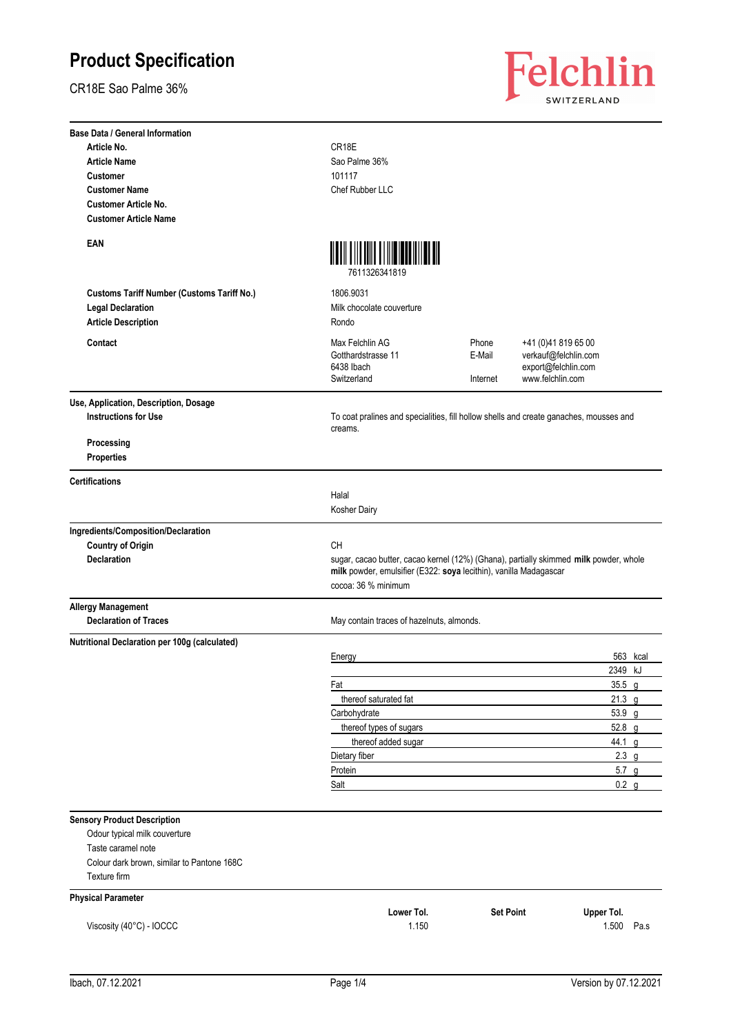CR18E Sao Palme 36%



| <b>Base Data / General Information</b>            |                                                                                                                                                                                   |                             |                                                                                        |
|---------------------------------------------------|-----------------------------------------------------------------------------------------------------------------------------------------------------------------------------------|-----------------------------|----------------------------------------------------------------------------------------|
| Article No.                                       | CR18E                                                                                                                                                                             |                             |                                                                                        |
| <b>Article Name</b>                               | Sao Palme 36%                                                                                                                                                                     |                             |                                                                                        |
| <b>Customer</b>                                   | 101117                                                                                                                                                                            |                             |                                                                                        |
| <b>Customer Name</b>                              | Chef Rubber LLC                                                                                                                                                                   |                             |                                                                                        |
| <b>Customer Article No.</b>                       |                                                                                                                                                                                   |                             |                                                                                        |
| <b>Customer Article Name</b>                      |                                                                                                                                                                                   |                             |                                                                                        |
| EAN                                               | <u>mon filmin film monitor il</u><br>7611326341819                                                                                                                                |                             |                                                                                        |
| <b>Customs Tariff Number (Customs Tariff No.)</b> | 1806.9031                                                                                                                                                                         |                             |                                                                                        |
| <b>Legal Declaration</b>                          | Milk chocolate couverture                                                                                                                                                         |                             |                                                                                        |
| <b>Article Description</b>                        | Rondo                                                                                                                                                                             |                             |                                                                                        |
|                                                   |                                                                                                                                                                                   |                             |                                                                                        |
| Contact                                           | Max Felchlin AG<br>Gotthardstrasse 11<br>6438 Ibach<br>Switzerland                                                                                                                | Phone<br>E-Mail<br>Internet | +41 (0)41 819 65 00<br>verkauf@felchlin.com<br>export@felchlin.com<br>www.felchlin.com |
| Use, Application, Description, Dosage             |                                                                                                                                                                                   |                             |                                                                                        |
| <b>Instructions for Use</b>                       | To coat pralines and specialities, fill hollow shells and create ganaches, mousses and<br>creams.                                                                                 |                             |                                                                                        |
| Processing<br>Properties                          |                                                                                                                                                                                   |                             |                                                                                        |
| <b>Certifications</b>                             |                                                                                                                                                                                   |                             |                                                                                        |
|                                                   | Halal                                                                                                                                                                             |                             |                                                                                        |
|                                                   | Kosher Dairy                                                                                                                                                                      |                             |                                                                                        |
| Ingredients/Composition/Declaration               |                                                                                                                                                                                   |                             |                                                                                        |
| <b>Country of Origin</b>                          | CН                                                                                                                                                                                |                             |                                                                                        |
| <b>Declaration</b>                                | sugar, cacao butter, cacao kernel (12%) (Ghana), partially skimmed milk powder, whole<br>milk powder, emulsifier (E322: soya lecithin), vanilla Madagascar<br>cocoa: 36 % minimum |                             |                                                                                        |
| <b>Allergy Management</b>                         |                                                                                                                                                                                   |                             |                                                                                        |
| <b>Declaration of Traces</b>                      | May contain traces of hazelnuts, almonds.                                                                                                                                         |                             |                                                                                        |
| Nutritional Declaration per 100g (calculated)     |                                                                                                                                                                                   |                             |                                                                                        |
|                                                   | Energy                                                                                                                                                                            |                             | 563 kcal                                                                               |
|                                                   |                                                                                                                                                                                   |                             | 2349 kJ                                                                                |
|                                                   | Fat                                                                                                                                                                               |                             | $35.5$ g                                                                               |
|                                                   | thereof saturated fat                                                                                                                                                             |                             | $21.3$ g                                                                               |
|                                                   | Carbohydrate                                                                                                                                                                      |                             | 53.9 g                                                                                 |
|                                                   | thereof types of sugars                                                                                                                                                           |                             | 52.8 g                                                                                 |
|                                                   | thereof added sugar                                                                                                                                                               |                             | 44.1 g                                                                                 |
|                                                   | Dietary fiber                                                                                                                                                                     |                             | $2.3$ g                                                                                |
|                                                   | Protein                                                                                                                                                                           |                             | $5.7$ g                                                                                |
|                                                   | Salt                                                                                                                                                                              |                             | $0.2$ g                                                                                |
| <b>Sensory Product Description</b>                |                                                                                                                                                                                   |                             |                                                                                        |
| Odour typical milk couverture                     |                                                                                                                                                                                   |                             |                                                                                        |
| Taste caramel note                                |                                                                                                                                                                                   |                             |                                                                                        |
| Colour dark brown, similar to Pantone 168C        |                                                                                                                                                                                   |                             |                                                                                        |
| Texture firm                                      |                                                                                                                                                                                   |                             |                                                                                        |
| <b>Physical Parameter</b>                         |                                                                                                                                                                                   |                             |                                                                                        |
|                                                   | Lower Tol.                                                                                                                                                                        | <b>Set Point</b>            | Upper Tol.                                                                             |
| Viscosity (40°C) - IOCCC                          | 1.150                                                                                                                                                                             |                             | 1.500<br>Pa.s                                                                          |
|                                                   |                                                                                                                                                                                   |                             |                                                                                        |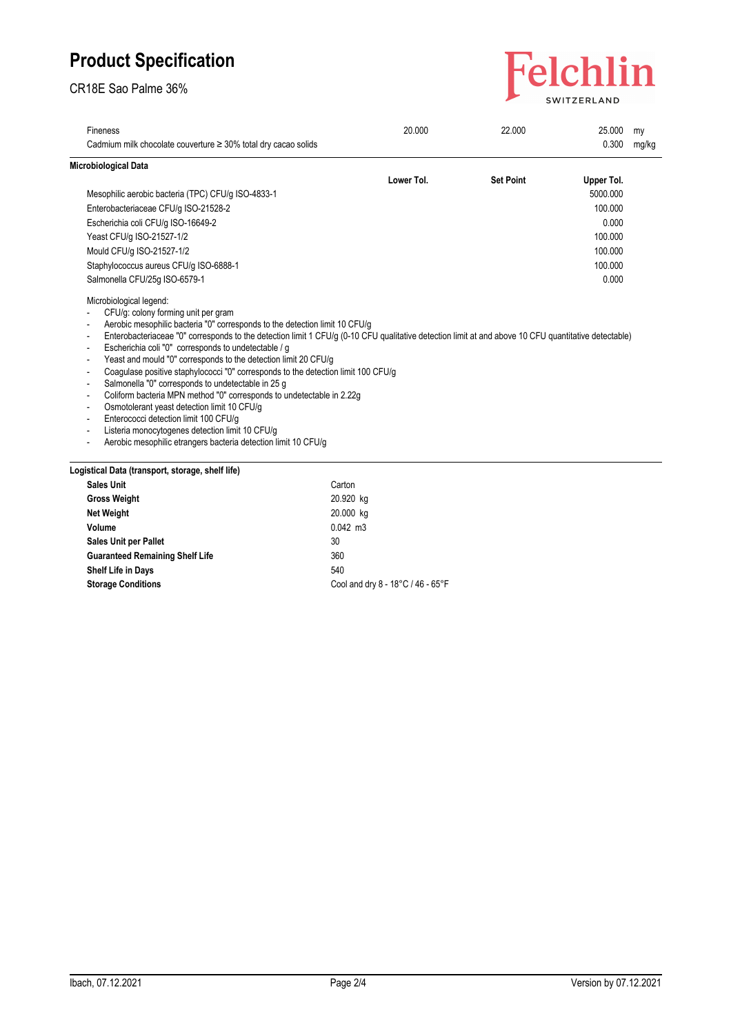CR18E Sao Palme 36%



| 20.000     | 22.000                                                                                                                                                                                                                                    | 25.000     | my                                                                                                                                                   |
|------------|-------------------------------------------------------------------------------------------------------------------------------------------------------------------------------------------------------------------------------------------|------------|------------------------------------------------------------------------------------------------------------------------------------------------------|
|            |                                                                                                                                                                                                                                           | 0.300      | mg/kg                                                                                                                                                |
|            |                                                                                                                                                                                                                                           |            |                                                                                                                                                      |
| Lower Tol. | <b>Set Point</b>                                                                                                                                                                                                                          | Upper Tol. |                                                                                                                                                      |
|            |                                                                                                                                                                                                                                           | 5000.000   |                                                                                                                                                      |
|            |                                                                                                                                                                                                                                           | 100.000    |                                                                                                                                                      |
|            |                                                                                                                                                                                                                                           | 0.000      |                                                                                                                                                      |
|            |                                                                                                                                                                                                                                           | 100.000    |                                                                                                                                                      |
|            |                                                                                                                                                                                                                                           | 100.000    |                                                                                                                                                      |
|            |                                                                                                                                                                                                                                           | 100.000    |                                                                                                                                                      |
|            |                                                                                                                                                                                                                                           | 0.000      |                                                                                                                                                      |
|            |                                                                                                                                                                                                                                           |            |                                                                                                                                                      |
|            | Aerobic mesophilic bacteria "0" corresponds to the detection limit 10 CFU/g<br>Coagulase positive staphylococci "0" corresponds to the detection limit 100 CFU/g<br>Coliform bacteria MPN method "0" corresponds to undetectable in 2.22g |            | Enterobacteriaceae "0" corresponds to the detection limit 1 CFU/g (0-10 CFU qualitative detection limit at and above 10 CFU quantitative detectable) |

| <b>Sales Unit</b>                      | Carton                            |
|----------------------------------------|-----------------------------------|
| <b>Gross Weight</b>                    | 20.920 kg                         |
| <b>Net Weight</b>                      | 20.000 kg                         |
| Volume                                 | $0.042$ m3                        |
| <b>Sales Unit per Pallet</b>           | 30                                |
| <b>Guaranteed Remaining Shelf Life</b> | 360                               |
| <b>Shelf Life in Days</b>              | 540                               |
| <b>Storage Conditions</b>              | Cool and dry 8 - 18°C / 46 - 65°F |
|                                        |                                   |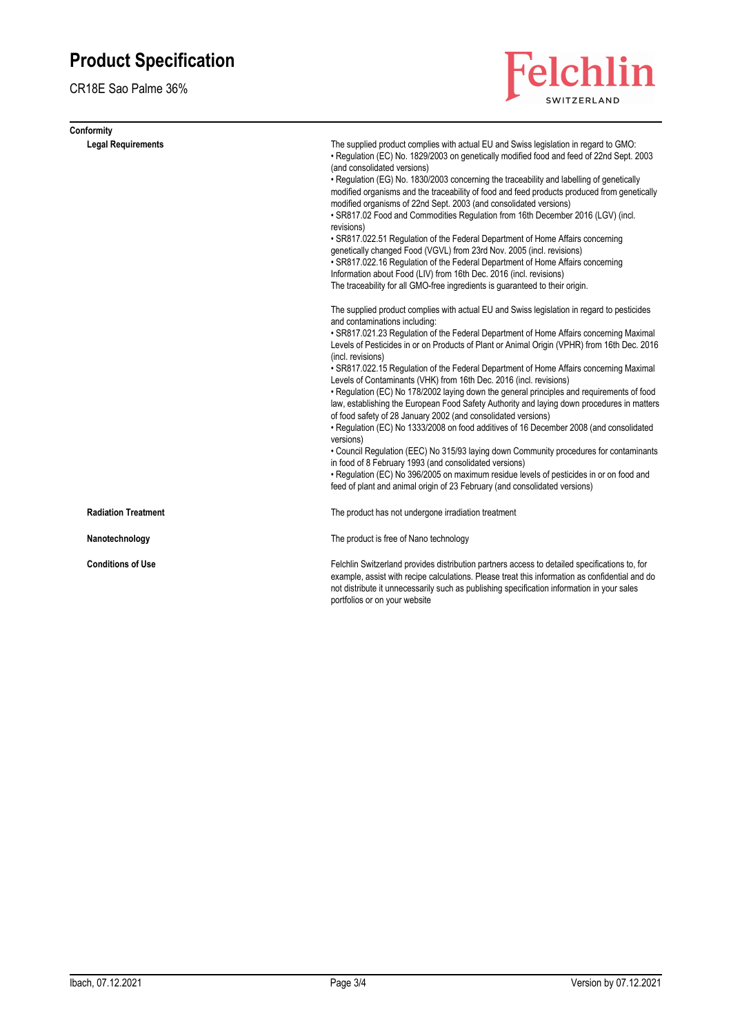CR18E Sao Palme 36%

| Conformity                 |                                                                                                                                                                                                                                                                                                                                                                                                                                                                                                                                                                                                                                                                                                                                                                                                                                                                                                                                                                                                                                                                                                                                                                                                           |
|----------------------------|-----------------------------------------------------------------------------------------------------------------------------------------------------------------------------------------------------------------------------------------------------------------------------------------------------------------------------------------------------------------------------------------------------------------------------------------------------------------------------------------------------------------------------------------------------------------------------------------------------------------------------------------------------------------------------------------------------------------------------------------------------------------------------------------------------------------------------------------------------------------------------------------------------------------------------------------------------------------------------------------------------------------------------------------------------------------------------------------------------------------------------------------------------------------------------------------------------------|
| <b>Legal Requirements</b>  | The supplied product complies with actual EU and Swiss legislation in regard to GMO:<br>• Regulation (EC) No. 1829/2003 on genetically modified food and feed of 22nd Sept. 2003<br>(and consolidated versions)<br>• Regulation (EG) No. 1830/2003 concerning the traceability and labelling of genetically<br>modified organisms and the traceability of food and feed products produced from genetically<br>modified organisms of 22nd Sept. 2003 (and consolidated versions)<br>. SR817.02 Food and Commodities Regulation from 16th December 2016 (LGV) (incl.<br>revisions)<br>• SR817.022.51 Regulation of the Federal Department of Home Affairs concerning<br>genetically changed Food (VGVL) from 23rd Nov. 2005 (incl. revisions)<br>• SR817.022.16 Regulation of the Federal Department of Home Affairs concerning<br>Information about Food (LIV) from 16th Dec. 2016 (incl. revisions)<br>The traceability for all GMO-free ingredients is guaranteed to their origin.                                                                                                                                                                                                                       |
|                            | The supplied product complies with actual EU and Swiss legislation in regard to pesticides<br>and contaminations including:<br>• SR817.021.23 Regulation of the Federal Department of Home Affairs concerning Maximal<br>Levels of Pesticides in or on Products of Plant or Animal Origin (VPHR) from 16th Dec. 2016<br>(incl. revisions)<br>• SR817.022.15 Regulation of the Federal Department of Home Affairs concerning Maximal<br>Levels of Contaminants (VHK) from 16th Dec. 2016 (incl. revisions)<br>• Regulation (EC) No 178/2002 laying down the general principles and requirements of food<br>law, establishing the European Food Safety Authority and laying down procedures in matters<br>of food safety of 28 January 2002 (and consolidated versions)<br>• Regulation (EC) No 1333/2008 on food additives of 16 December 2008 (and consolidated<br>versions)<br>• Council Regulation (EEC) No 315/93 laying down Community procedures for contaminants<br>in food of 8 February 1993 (and consolidated versions)<br>• Regulation (EC) No 396/2005 on maximum residue levels of pesticides in or on food and<br>feed of plant and animal origin of 23 February (and consolidated versions) |
| <b>Radiation Treatment</b> | The product has not undergone irradiation treatment                                                                                                                                                                                                                                                                                                                                                                                                                                                                                                                                                                                                                                                                                                                                                                                                                                                                                                                                                                                                                                                                                                                                                       |
| Nanotechnology             | The product is free of Nano technology                                                                                                                                                                                                                                                                                                                                                                                                                                                                                                                                                                                                                                                                                                                                                                                                                                                                                                                                                                                                                                                                                                                                                                    |
| <b>Conditions of Use</b>   | Felchlin Switzerland provides distribution partners access to detailed specifications to, for<br>example, assist with recipe calculations. Please treat this information as confidential and do<br>not distribute it unnecessarily such as publishing specification information in your sales<br>portfolios or on your website                                                                                                                                                                                                                                                                                                                                                                                                                                                                                                                                                                                                                                                                                                                                                                                                                                                                            |

Felchlin